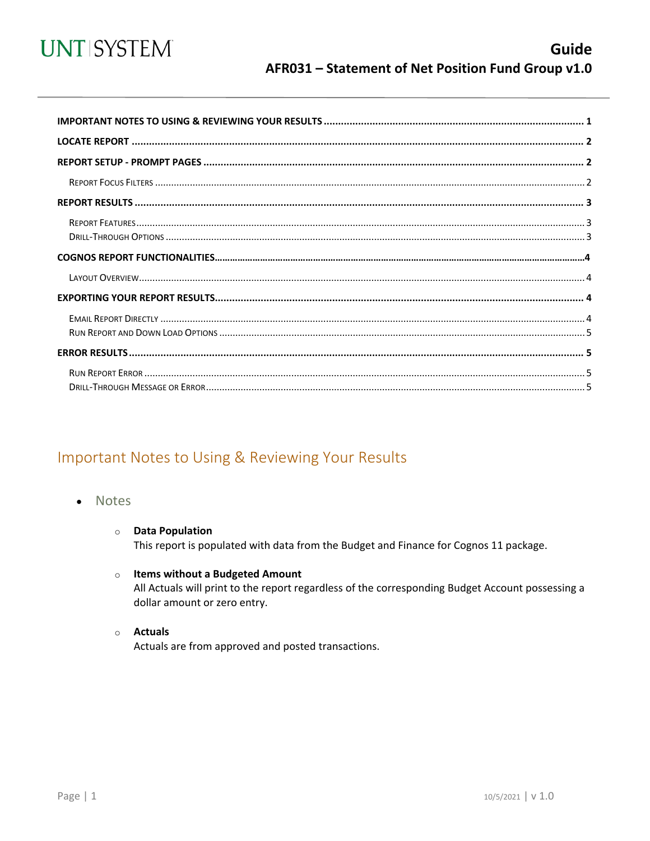

<span id="page-0-0"></span>

## Important Notes to Using & Reviewing Your Results

- Notes
	- **O** Data Population This report is populated with data from the Budget and Finance for Cognos 11 package.
	- $\circ$  Items without a Budgeted Amount All Actuals will print to the report regardless of the corresponding Budget Account possessing a dollar amount or zero entry.
	- $\circ$  Actuals

Actuals are from approved and posted transactions.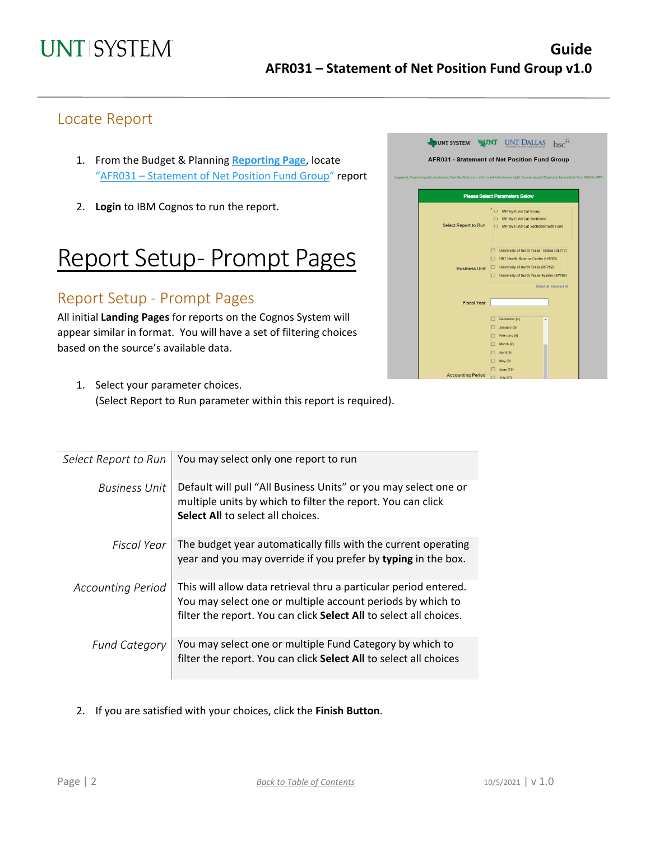### Locate Report

- 1. From the Budget & Planning **[Reporting Page](https://finance.untsystem.edu/reporting)**, locate "AFR031 – Statement of Net [Position Fund Group"](https://cognospd.admin.unt.edu/bi/?pathRef=.public_folders%2FAFR%2BReports%2FAFR031%2B-%2BStatement%2Bof%2BNet%2BPosition%2BFund%2BGroup) report
- 2. **Login** to IBM Cognos to run the report.

## Report Setup- Prompt Pages

### Report Setup - Prompt Pages

All initial **Landing Pages** for reports on the Cognos System will appear similar in format. You will have a set of filtering choices based on the source's available data.



1. Select your parameter choices. (Select Report to Run parameter within this report is required).

| Select Report to Run     | You may select only one report to run                                                                                                                                                                |
|--------------------------|------------------------------------------------------------------------------------------------------------------------------------------------------------------------------------------------------|
| <b>Business Unit</b>     | Default will pull "All Business Units" or you may select one or<br>multiple units by which to filter the report. You can click<br><b>Select All to select all choices.</b>                           |
| Fiscal Year              | The budget year automatically fills with the current operating<br>year and you may override if you prefer by typing in the box.                                                                      |
| <b>Accounting Period</b> | This will allow data retrieval thru a particular period entered.<br>You may select one or multiple account periods by which to<br>filter the report. You can click Select All to select all choices. |
| <b>Fund Category</b>     | You may select one or multiple Fund Category by which to<br>filter the report. You can click Select All to select all choices                                                                        |

2. If you are satisfied with your choices, click the **Finish Button**.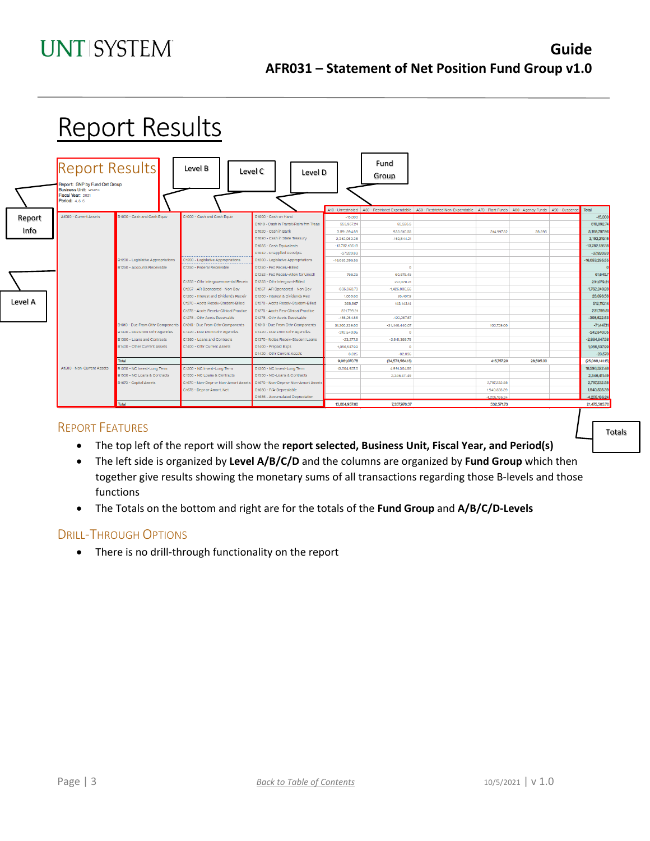|         |                                                                                                                        | <b>Report Results</b>              |                                        |                                        |                  |                  |                                                                                                                                                      |                 |           |                 |
|---------|------------------------------------------------------------------------------------------------------------------------|------------------------------------|----------------------------------------|----------------------------------------|------------------|------------------|------------------------------------------------------------------------------------------------------------------------------------------------------|-----------------|-----------|-----------------|
|         | <b>Report Results</b><br>Report: SNP by Fund Cat Group<br>Business Unit: HS763<br>Fiscal Year: 2021<br>Period: 4, 5, 6 |                                    | Level B<br>Level C                     | Level D                                |                  | Fund<br>Group    |                                                                                                                                                      |                 |           |                 |
|         | A1000 - Current Assets                                                                                                 | B1000 - Cash and Cash Equiv        | C1000 - Cash and Cash Equiv            | D1000 - Cash on Hand                   | $-15,000$        |                  | A10 - Unrestricted   A30 - Restricted Expendable   A50 - Restricted Non-Expendable   A70 - Plant Funds   A80 - Agency Funds   A90 - Suspense   Total |                 |           | $-15,000$       |
| Report  |                                                                                                                        |                                    |                                        | D1010 - Cash in Transit/Reim frm Treas | 555,367,24       | 55,525.5         |                                                                                                                                                      |                 |           | 610.892.74      |
| Info    |                                                                                                                        |                                    |                                        | D1020 - Cash in Bank                   | 3,891,594,89     | 933,610.55       |                                                                                                                                                      | 314,997.52      | 28,595    | 5,168,797.96    |
|         |                                                                                                                        |                                    |                                        | D1030 - Cash in State Treasury         | 2,352,063.36     | $-159,844.21$    |                                                                                                                                                      |                 |           | 2,192,219.15    |
|         |                                                                                                                        |                                    |                                        | D1035 - Cash Equivalents               | $-13.782.136.18$ |                  |                                                                                                                                                      |                 |           | -13,782,136.18  |
|         |                                                                                                                        |                                    |                                        | D1042 - Unapplied Receipts             | $-37.920.83$     |                  |                                                                                                                                                      |                 |           | $-37.920.83$    |
|         |                                                                                                                        | B1200 - Legislative Appropriations | C1200 - Legislative Appropriations     | D1200 - Legislative Appropriations     | $-16,053,295,55$ |                  |                                                                                                                                                      |                 |           | 16,053,295.55   |
|         |                                                                                                                        | B1250 - Accounts Receivable        | C1250 - Federal Receivable             | D1250 - Fed Receiv-Billed              |                  | $\circ$          |                                                                                                                                                      |                 |           |                 |
|         |                                                                                                                        |                                    |                                        | D1252 - Fed Receiv-Allow for Uncoll    | 766.25           | 60,879.45        |                                                                                                                                                      |                 |           | 61,645.7        |
|         |                                                                                                                        |                                    | C1255 - Othr Intergovernmental Receiv  | D1255 - Othr Intergovnt-Billed         |                  | 231,079.21       |                                                                                                                                                      |                 |           | 231,079.21      |
|         |                                                                                                                        |                                    | C1257 - AR Sponsored - Non Gov         | D1257 - AR Sponsored - Non Gov         | $-335.353.73$    | $-1,426,886.55$  |                                                                                                                                                      |                 |           | $-1,762,240.28$ |
|         |                                                                                                                        |                                    | C1260 - Interest and Dividends Receiv  | D1260 - Interest & Dividends Rec       | 1,688.66         | 26.407.9         |                                                                                                                                                      |                 |           | 28,096.56       |
| Level A |                                                                                                                        |                                    | C1270 - Accts Receiv-Student-Billed    | D1270 - Accts Receiv-Student-Billed    | 368,967          | 143.143.14       |                                                                                                                                                      |                 |           | 512,110.14      |
|         |                                                                                                                        |                                    | C1275 - Accts Receiv-Clinical Practice | D1275 - Accts Rec-Clinical Practice    | 231,799.51       |                  |                                                                                                                                                      |                 |           | 231,799.51      |
|         |                                                                                                                        |                                    | C1278 - Othr Accts Receivable          | D1278 - Othr Acots Receivable          | $-185,254,86$    | $-123,267.67$    |                                                                                                                                                      |                 |           | 308,522.53      |
|         |                                                                                                                        | B1310 - Due From Othr Components   | C1310 - Due From Othr Components       | D1310 - Due From Othr Components       | 31,268,239.88    | $-31,440,446.67$ |                                                                                                                                                      | 100,759.68      |           | $-71,447.11$    |
|         |                                                                                                                        | B1320 - Due From Othr Agencies     | C1320 - Due From Othr Agencies         | D1320 - Due From Othr Agencies         | $-242.540.05$    | $\Omega$         |                                                                                                                                                      |                 |           | $-242.540.05$   |
|         |                                                                                                                        | B1360 - Loans and Contracts        | C1360 - Loans and Contracts            | D1370 - Notes Receiv-Student Loans     | $-23.277.8$      | $-2.841.369.78$  |                                                                                                                                                      |                 |           | $-2,864,647.58$ |
|         |                                                                                                                        | B1400 - Other Current Assets       | C1400 - Othr Current Assets            | D1400 - Prepaid Exps                   | 1,056,537,99     | $\Omega$         |                                                                                                                                                      |                 |           | 1,056,537,99    |
|         |                                                                                                                        |                                    |                                        | D1420 - Othr Current Assets            | 8,825            | $-32,395$        |                                                                                                                                                      |                 |           | $-23,570$       |
|         |                                                                                                                        | Total                              |                                        |                                        | 9,061,070.78     | (34,573,564.13)  |                                                                                                                                                      | 415,757.20      | 28,595.00 | (25,068,141.15) |
|         | A1500 - Non-Current Assets                                                                                             | B1500 - NC Invest-Long Term        | C1500 - NC Invest-Long Term            | D1500 - NC Invest-Long Term            | 13,604,957.6     | 4,991,564.88     |                                                                                                                                                      |                 |           | 18,596,522.48   |
|         |                                                                                                                        | B1550 - NC Loans & Contracts       | C1550 - NC Loans & Contracts           | D1550 - NC-Loans & Contracts           |                  | 2,346,411.49     |                                                                                                                                                      |                 |           | 2,346,411,49    |
|         |                                                                                                                        | B1670 - Capital Assets             | C1670 - Non-Depr or Non-Amort Assets   | D1670 - Non-Depr or Non-Amort Assets   |                  |                  |                                                                                                                                                      | 2.797.232.58    |           | 2,797,232.58    |
|         |                                                                                                                        |                                    | C1675 - Depr or Amort, Net             | D1680 - F/A-Depreciable                |                  |                  |                                                                                                                                                      | 1,940,525.39    |           | 1.940.525.39    |
|         |                                                                                                                        |                                    |                                        | D1685 - Accumulated Depreciation       |                  |                  |                                                                                                                                                      | $-4.205,186.24$ |           | $-4.205.186.24$ |
|         |                                                                                                                        | Total                              |                                        |                                        | 13,604,957,60    | 7,337,976.37     |                                                                                                                                                      | 532,571,73      |           | 21,475,505.70   |

#### REPORT FEATURES

- The top left of the report will show the **report selected, Business Unit, Fiscal Year, and Period(s)**
- The left side is organized by **Level A/B/C/D** and the columns are organized by **Fund Group** which then together give results showing the monetary sums of all transactions regarding those B-levels and those functions
- The Totals on the bottom and right are for the totals of the **Fund Group** and **A/B/C/D-Levels**

### DRILL-THROUGH OPTIONS

• There is no drill-through functionality on the report

Totals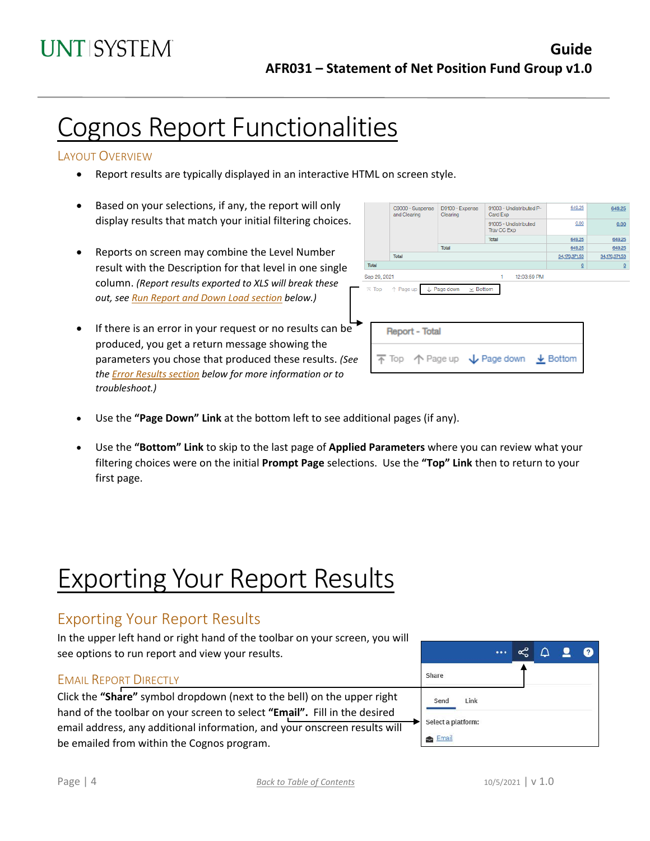## Cognos Report Functionalities

### LAYOUT OVERVIEW

- Report results are typically displayed in an interactive HTML on screen style.
- Based on your selections, if any, the report will only display results that match your initial filtering choices.
- Reports on screen may combine the Level Number result with the Description for that level in one single column. *(Report results exported to XLS will break these out, see Run Report and Down Load section below.)*
- If there is an error in your request or no results can be produced, you get a return message showing the parameters you chose that produced these results. *(See th[e Error Results section](#page-4-0) below for more information or to troubleshoot.)*

| C9000 - Suspense<br>and Clearing                                                        | D9100 - Expense<br>Clearing    | 91003 - Undistributed P-<br>Card Exp | 649.25         | 649.25         |
|-----------------------------------------------------------------------------------------|--------------------------------|--------------------------------------|----------------|----------------|
|                                                                                         |                                | 91005 - Undistributed<br>Trav CC Exp | 0.00           | 0.00           |
|                                                                                         |                                | <b>Total</b>                         | 649.25         | 649.25         |
|                                                                                         | Total                          |                                      | 649.25         | 649.25         |
| Total                                                                                   |                                |                                      | 34,170,371.53  | 34,170,371.53  |
| Total                                                                                   |                                |                                      | $\overline{0}$ | $\overline{0}$ |
| Sep 29, 2021                                                                            |                                | 12:03:59 PM<br>1                     |                |                |
| ↑ Page up<br>$\overline{\wedge}$ Top                                                    | L Page down<br>$\times$ Bottom |                                      |                |                |
| <b>Report - Total</b>                                                                   |                                |                                      |                |                |
| $\overline{\uparrow}$ Top $\uparrow$ Page up $\downarrow$ Page down $\downarrow$ Bottom |                                |                                      |                |                |
|                                                                                         |                                |                                      |                |                |

- Use the **"Page Down" Link** at the bottom left to see additional pages (if any).
- Use the **"Bottom" Link** to skip to the last page of **Applied Parameters** where you can review what your filtering choices were on the initial **Prompt Page** selections. Use the **"Top" Link** then to return to your first page.

## Exporting Your Report Results

## Exporting Your Report Results

In the upper left hand or right hand of the toolbar on your screen, you will see options to run report and view your results.

### EMAIL REPORT DIRECTLY

Click the **"Share"** symbol dropdown (next to the bell) on the upper right hand of the toolbar on your screen to select **"Email".** Fill in the desired email address, any additional information, and your onscreen results will be emailed from within the Cognos program.

|                    |      |  | ∩ | $\bullet$ | 0 |
|--------------------|------|--|---|-----------|---|
| Share              |      |  |   |           |   |
| Send               | Link |  |   |           |   |
| Select a platform: |      |  |   |           |   |
| Email              |      |  |   |           |   |